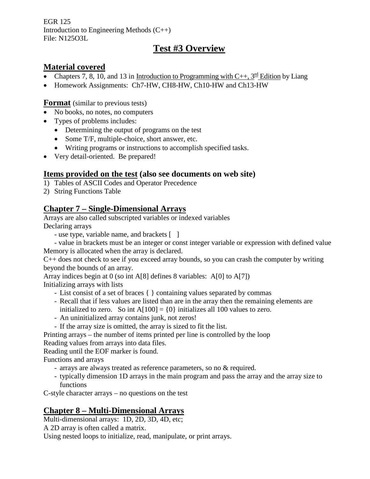EGR 125 Introduction to Engineering Methods (C++) File: N125O3L

# **Test #3 Overview**

#### **Material covered**

- Chapters 7, 8, 10, and 13 in Introduction to Programming with C++,  $3^{\text{rd}}$  Edition by Liang
- Homework Assignments: Ch7-HW, CH8-HW, Ch10-HW and Ch13-HW

**Format** (similar to previous tests)

- No books, no notes, no computers
- Types of problems includes:
	- Determining the output of programs on the test
	- Some T/F, multiple-choice, short answer, etc.
	- Writing programs or instructions to accomplish specified tasks.
- Very detail-oriented. Be prepared!

#### **Items provided on the test (also see documents on web site)**

- 1) Tables of ASCII Codes and Operator Precedence
- 2) String Functions Table

#### **Chapter 7 – Single-Dimensional Arrays**

Arrays are also called subscripted variables or indexed variables Declaring arrays

- use type, variable name, and brackets [ ]
- value in brackets must be an integer or const integer variable or expression with defined value Memory is allocated when the array is declared.

C++ does not check to see if you exceed array bounds, so you can crash the computer by writing beyond the bounds of an array.

Array indices begin at 0 (so int A[8] defines 8 variables: A[0] to A[7])

Initializing arrays with lists

- List consist of a set of braces { } containing values separated by commas
- Recall that if less values are listed than are in the array then the remaining elements are initialized to zero. So int  $A[100] = \{0\}$  initializes all 100 values to zero.
- An uninitialized array contains junk, not zeros!
- If the array size is omitted, the array is sized to fit the list.

Printing arrays – the number of items printed per line is controlled by the loop

Reading values from arrays into data files.

Reading until the EOF marker is found.

Functions and arrays

- arrays are always treated as reference parameters, so no & required.
- typically dimension 1D arrays in the main program and pass the array and the array size to functions

C-style character arrays – no questions on the test

#### **Chapter 8 – Multi-Dimensional Arrays**

Multi-dimensional arrays: 1D, 2D, 3D, 4D, etc;

A 2D array is often called a matrix.

Using nested loops to initialize, read, manipulate, or print arrays.